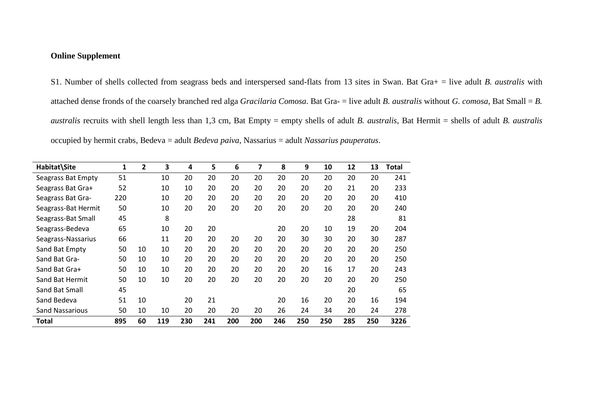## **Online Supplement**

S1. Number of shells collected from seagrass beds and interspersed sand-flats from 13 sites in Swan. Bat Gra+ = live adult *B. australis* with attached dense fronds of the coarsely branched red alga *Gracilaria Comosa*. Bat Gra- = live adult *B. australis* without *G. comosa*, Bat Small = *B. australis* recruits with shell length less than 1,3 cm, Bat Empty = empty shells of adult *B. australis*, Bat Hermit = shells of adult *B. australis* occupied by hermit crabs, Bedeva = adult *Bedeva paiva*, Nassarius = adult *Nassarius pauperatus*.

| Habitat\Site           | 1   | 2  | 3   | 4   | 5   | 6   | 7   | 8   | 9   | 10  | 12  | 13  | Total |
|------------------------|-----|----|-----|-----|-----|-----|-----|-----|-----|-----|-----|-----|-------|
| Seagrass Bat Empty     | 51  |    | 10  | 20  | 20  | 20  | 20  | 20  | 20  | 20  | 20  | 20  | 241   |
| Seagrass Bat Gra+      | 52  |    | 10  | 10  | 20  | 20  | 20  | 20  | 20  | 20  | 21  | 20  | 233   |
| Seagrass Bat Gra-      | 220 |    | 10  | 20  | 20  | 20  | 20  | 20  | 20  | 20  | 20  | 20  | 410   |
| Seagrass-Bat Hermit    | 50  |    | 10  | 20  | 20  | 20  | 20  | 20  | 20  | 20  | 20  | 20  | 240   |
| Seagrass-Bat Small     | 45  |    | 8   |     |     |     |     |     |     |     | 28  |     | 81    |
| Seagrass-Bedeva        | 65  |    | 10  | 20  | 20  |     |     | 20  | 20  | 10  | 19  | 20  | 204   |
| Seagrass-Nassarius     | 66  |    | 11  | 20  | 20  | 20  | 20  | 20  | 30  | 30  | 20  | 30  | 287   |
| Sand Bat Empty         | 50  | 10 | 10  | 20  | 20  | 20  | 20  | 20  | 20  | 20  | 20  | 20  | 250   |
| Sand Bat Gra-          | 50  | 10 | 10  | 20  | 20  | 20  | 20  | 20  | 20  | 20  | 20  | 20  | 250   |
| Sand Bat Gra+          | 50  | 10 | 10  | 20  | 20  | 20  | 20  | 20  | 20  | 16  | 17  | 20  | 243   |
| Sand Bat Hermit        | 50  | 10 | 10  | 20  | 20  | 20  | 20  | 20  | 20  | 20  | 20  | 20  | 250   |
| Sand Bat Small         | 45  |    |     |     |     |     |     |     |     |     | 20  |     | 65    |
| Sand Bedeva            | 51  | 10 |     | 20  | 21  |     |     | 20  | 16  | 20  | 20  | 16  | 194   |
| <b>Sand Nassarious</b> | 50  | 10 | 10  | 20  | 20  | 20  | 20  | 26  | 24  | 34  | 20  | 24  | 278   |
| Total                  | 895 | 60 | 119 | 230 | 241 | 200 | 200 | 246 | 250 | 250 | 285 | 250 | 3226  |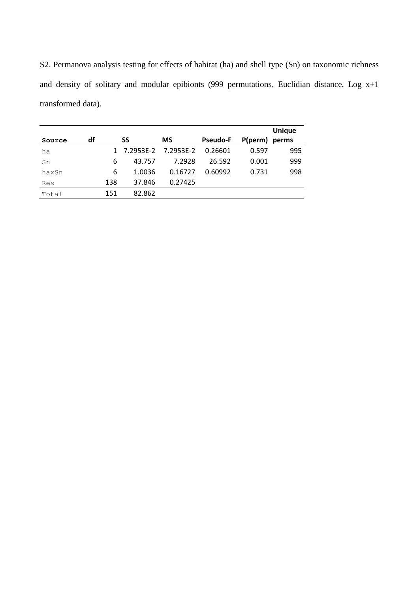S2. Permanova analysis testing for effects of habitat (ha) and shell type (Sn) on taxonomic richness and density of solitary and modular epibionts (999 permutations, Euclidian distance, Log x+1 transformed data).

|    |     |           |           |                 |         | <b>Unique</b> |
|----|-----|-----------|-----------|-----------------|---------|---------------|
| df |     | SS        | ΜS        | <b>Pseudo-F</b> | P(perm) | perms         |
|    |     | 7.2953E-2 | 7.2953E-2 | 0.26601         | 0.597   | 995           |
|    | 6   | 43.757    | 7.2928    | 26.592          | 0.001   | 999           |
|    | 6   | 1.0036    | 0.16727   | 0.60992         | 0.731   | 998           |
|    | 138 | 37.846    | 0.27425   |                 |         |               |
|    | 151 | 82.862    |           |                 |         |               |
|    |     |           | 1.        |                 |         |               |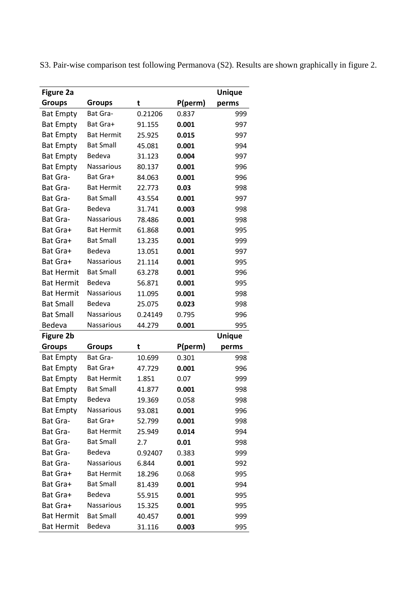S3. Pair-wise comparison test following Permanova (S2). Results are shown graphically in figure 2.

| Figure 2a                   |                   |         |         | Unique        |
|-----------------------------|-------------------|---------|---------|---------------|
| <b>Groups</b>               | <b>Groups</b>     | t       | P(perm) | perms         |
| <b>Bat Empty</b>            | Bat Gra-          | 0.21206 | 0.837   | 999           |
| <b>Bat Empty</b>            | Bat Gra+          | 91.155  | 0.001   | 997           |
| <b>Bat Empty</b>            | <b>Bat Hermit</b> | 25.925  | 0.015   | 997           |
| <b>Bat Empty</b>            | <b>Bat Small</b>  | 45.081  | 0.001   | 994           |
| <b>Bat Empty</b>            | Bedeva            | 31.123  | 0.004   | 997           |
| <b>Bat Empty</b>            | Nassarious        | 80.137  | 0.001   | 996           |
| Bat Gra-                    | Bat Gra+          | 84.063  | 0.001   | 996           |
| Bat Gra-                    | <b>Bat Hermit</b> | 22.773  | 0.03    | 998           |
| Bat Gra-                    | <b>Bat Small</b>  | 43.554  | 0.001   | 997           |
| Bat Gra-                    | Bedeva            | 31.741  | 0.003   | 998           |
| Bat Gra-                    | Nassarious        | 78.486  | 0.001   | 998           |
| Bat Gra+                    | <b>Bat Hermit</b> | 61.868  | 0.001   | 995           |
| Bat Gra+                    | <b>Bat Small</b>  | 13.235  | 0.001   | 999           |
| Bat Gra+                    | Bedeva            | 13.051  | 0.001   | 997           |
| Bat Gra+                    | Nassarious        | 21.114  | 0.001   | 995           |
| <b>Bat Hermit</b>           | <b>Bat Small</b>  | 63.278  | 0.001   | 996           |
| <b>Bat Hermit</b>           | Bedeva            | 56.871  | 0.001   | 995           |
| <b>Bat Hermit</b>           | <b>Nassarious</b> | 11.095  | 0.001   | 998           |
| <b>Bat Small</b>            | Bedeva            | 25.075  | 0.023   | 998           |
| <b>Bat Small</b>            | Nassarious        | 0.24149 | 0.795   | 996           |
| Bedeva                      | Nassarious        | 44.279  | 0.001   | 995           |
| <b>Figure 2b</b>            |                   |         |         | <b>Unique</b> |
| <b>Groups</b>               | <b>Groups</b>     | t       | P(perm) | perms         |
| <b>Bat Empty</b>            | Bat Gra-          | 10.699  | 0.301   | 998           |
| <b>Bat Empty</b>            | Bat Gra+          | 47.729  | 0.001   | 996           |
| <b>Bat Empty</b>            | <b>Bat Hermit</b> | 1.851   | 0.07    | 999           |
| <b>Bat Empty</b>            | <b>Bat Small</b>  | 41.877  | 0.001   | 998           |
| <b>Bat Empty</b>            | Bedeva            | 19.369  | 0.058   | 998           |
| <b>Bat Empty Nassarious</b> |                   | 93.081  | 0.001   | 996           |
| Bat Gra-                    | Bat Gra+          | 52.799  | 0.001   | 998           |
| Bat Gra-                    | <b>Bat Hermit</b> | 25.949  | 0.014   | 994           |
| Bat Gra-                    | <b>Bat Small</b>  | 2.7     | 0.01    | 998           |
| Bat Gra-                    | Bedeva            | 0.92407 | 0.383   | 999           |
| Bat Gra-                    | Nassarious        | 6.844   | 0.001   | 992           |
| Bat Gra+                    | <b>Bat Hermit</b> | 18.296  | 0.068   | 995           |
| Bat Gra+                    | <b>Bat Small</b>  | 81.439  | 0.001   | 994           |
| Bat Gra+                    | Bedeva            | 55.915  | 0.001   | 995           |
| Bat Gra+                    | Nassarious        | 15.325  | 0.001   | 995           |
| Bat Hermit Bat Small        |                   | 40.457  | 0.001   | 999           |
| Bat Hermit                  | Bedeva            | 31.116  | 0.003   | 995           |